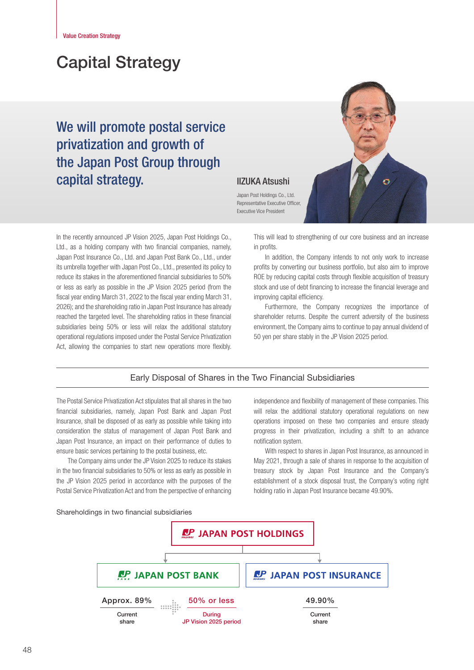# Capital Strategy

# We will promote postal service privatization and growth of the Japan Post Group through **Capital strategy. IIZUKA Atsushi**



Japan Post Holdings Co., Ltd. Representative Executive Officer, Executive Vice President

In the recently announced JP Vision 2025, Japan Post Holdings Co., Ltd., as a holding company with two financial companies, namely, Japan Post Insurance Co., Ltd. and Japan Post Bank Co., Ltd., under its umbrella together with Japan Post Co., Ltd., presented its policy to reduce its stakes in the aforementioned financial subsidiaries to 50% or less as early as possible in the JP Vision 2025 period (from the fiscal year ending March 31, 2022 to the fiscal year ending March 31, 2026); and the shareholding ratio in Japan Post Insurance has already reached the targeted level. The shareholding ratios in these financial subsidiaries being 50% or less will relax the additional statutory operational regulations imposed under the Postal Service Privatization Act, allowing the companies to start new operations more flexibly.

This will lead to strengthening of our core business and an increase in profits.

In addition, the Company intends to not only work to increase profits by converting our business portfolio, but also aim to improve ROE by reducing capital costs through flexible acquisition of treasury stock and use of debt financing to increase the financial leverage and improving capital efficiency.

Furthermore, the Company recognizes the importance of shareholder returns. Despite the current adversity of the business environment, the Company aims to continue to pay annual dividend of 50 yen per share stably in the JP Vision 2025 period.

## Early Disposal of Shares in the Two Financial Subsidiaries

The Postal Service Privatization Act stipulates that all shares in the two financial subsidiaries, namely, Japan Post Bank and Japan Post Insurance, shall be disposed of as early as possible while taking into consideration the status of management of Japan Post Bank and Japan Post Insurance, an impact on their performance of duties to ensure basic services pertaining to the postal business, etc.

The Company aims under the JP Vision 2025 to reduce its stakes in the two financial subsidiaries to 50% or less as early as possible in the JP Vision 2025 period in accordance with the purposes of the Postal Service Privatization Act and from the perspective of enhancing

independence and flexibility of management of these companies. This will relax the additional statutory operational regulations on new operations imposed on these two companies and ensure steady progress in their privatization, including a shift to an advance notification system.

With respect to shares in Japan Post Insurance, as announced in May 2021, through a sale of shares in response to the acquisition of treasury stock by Japan Post Insurance and the Company's establishment of a stock disposal trust, the Company's voting right holding ratio in Japan Post Insurance became 49.90%.